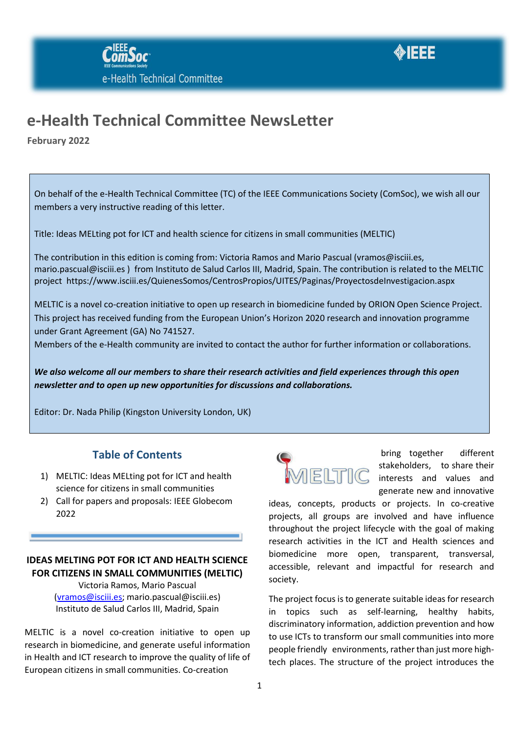



# **e-Health Technical Committee NewsLetter**

**February 2022**

On behalf of the e-Health Technical Committee (TC) of the IEEE Communications Society (ComSoc), we wish all our members a very instructive reading of this letter.

Title: Ideas MELting pot for ICT and health science for citizens in small communities (MELTIC)

The contribution in this edition is coming from: Victoria Ramos and Mario Pascual (vramos@isciii.es, mario.pascual@isciii.es ) from Instituto de Salud Carlos III, Madrid, Spain. The contribution is related to the MELTIC project https://www.isciii.es/QuienesSomos/CentrosPropios/UITES/Paginas/ProyectosdeInvestigacion.aspx

MELTIC is a novel co-creation initiative to open up research in biomedicine funded by ORION Open Science Project. This project has received funding from the European Union's Horizon 2020 research and innovation programme under Grant Agreement (GA) No 741527.

Members of the e-Health community are invited to contact the author for further information or collaborations.

*We also welcome all our members to share their research activities and field experiences through this open newsletter and to open up new opportunities for discussions and collaborations.*

Editor: Dr. Nada Philip (Kingston University London, UK)

# **Table of Contents**

- 1) MELTIC: Ideas MELting pot for ICT and health science for citizens in small communities
- 2) Call for papers and proposals: IEEE Globecom 2022

### **IDEAS MELTING POT FOR ICT AND HEALTH SCIENCE FOR CITIZENS IN SMALL COMMUNITIES (MELTIC)**

Victoria Ramos, Mario Pascual [\(vramos@isciii.es;](mailto:vramos@isciii.es) [mario.pascual@isciii.es\)](mailto:fatima.domingues@ua.pt) Instituto de Salud Carlos III, Madrid, Spain

MELTIC is a novel co-creation initiative to open up research in biomedicine, and generate useful information in Health and ICT research to improve the quality of life of European citizens in small communities. Co-creation



bring together different stakeholders, to share their interests and values and generate new and innovative

ideas, concepts, products or projects. In co-creative projects, all groups are involved and have influence throughout the project lifecycle with the goal of making research activities in the ICT and Health sciences and biomedicine more open, transparent, transversal, accessible, relevant and impactful for research and society.

The project focus is to generate suitable ideas for research in topics such as self-learning, healthy habits, discriminatory information, addiction prevention and how to use ICTs to transform our small communities into more people friendly environments, rather than just more hightech places. The structure of the project introduces the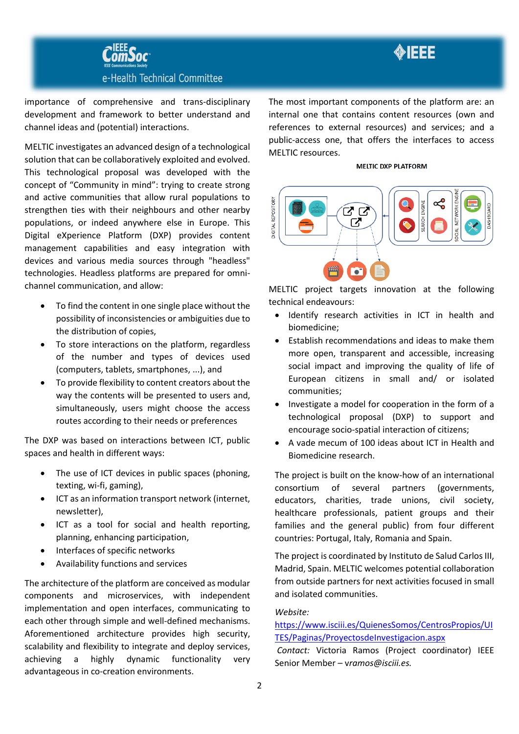



importance of comprehensive and trans-disciplinary development and framework to better understand and channel ideas and (potential) interactions.

MELTIC investigates an advanced design of a technological solution that can be collaboratively exploited and evolved. This technological proposal was developed with the concept of "Community in mind": trying to create strong and active communities that allow rural populations to strengthen ties with their neighbours and other nearby populations, or indeed anywhere else in Europe. This Digital eXperience Platform (DXP) provides content management capabilities and easy integration with devices and various media sources through "headless" technologies. Headless platforms are prepared for omnichannel communication, and allow:

- To find the content in one single place without the possibility of inconsistencies or ambiguities due to the distribution of copies,
- To store interactions on the platform, regardless of the number and types of devices used (computers, tablets, smartphones, ...), and
- To provide flexibility to content creators about the way the contents will be presented to users and, simultaneously, users might choose the access routes according to their needs or preferences

The DXP was based on interactions between ICT, public spaces and health in different ways:

- The use of ICT devices in public spaces (phoning, texting, wi-fi, gaming),
- ICT as an information transport network (internet, newsletter),
- ICT as a tool for social and health reporting, planning, enhancing participation,
- Interfaces of specific networks
- Availability functions and services

The architecture of the platform are conceived as modular components and microservices, with independent implementation and open interfaces, communicating to each other through simple and well-defined mechanisms. Aforementioned architecture provides high security, scalability and flexibility to integrate and deploy services, achieving a highly dynamic functionality very advantageous in co-creation environments.

The most important components of the platform are: an internal one that contains content resources (own and references to external resources) and services; and a public-access one, that offers the interfaces to access MELTIC resources.

**MELTIC DXP PLATFORM** 



MELTIC project targets innovation at the following technical endeavours:

- Identify research activities in ICT in health and biomedicine;
- Establish recommendations and ideas to make them more open, transparent and accessible, increasing social impact and improving the quality of life of European citizens in small and/ or isolated communities;
- Investigate a model for cooperation in the form of a technological proposal (DXP) to support and encourage socio-spatial interaction of citizens;
- A vade mecum of 100 ideas about ICT in Health and Biomedicine research.

The project is built on the know-how of an international consortium of several partners (governments, educators, charities, trade unions, civil society, healthcare professionals, patient groups and their families and the general public) from four different countries: Portugal, Italy, Romania and Spain.

The project is coordinated by Instituto de Salud Carlos III, Madrid, Spain. MELTIC welcomes potential collaboration from outside partners for next activities focused in small and isolated communities.

#### *Website:*

## [https://www.isciii.es/QuienesSomos/CentrosPropios/UI](https://www.isciii.es/QuienesSomos/CentrosPropios/UITES/Paginas/ProyectosdeInvestigacion.aspx) [TES/Paginas/ProyectosdeInvestigacion.aspx](https://www.isciii.es/QuienesSomos/CentrosPropios/UITES/Paginas/ProyectosdeInvestigacion.aspx)

*Contact:* Victoria Ramos (Project coordinator) IEEE Senior Member – v*ramos@isciii.es.*